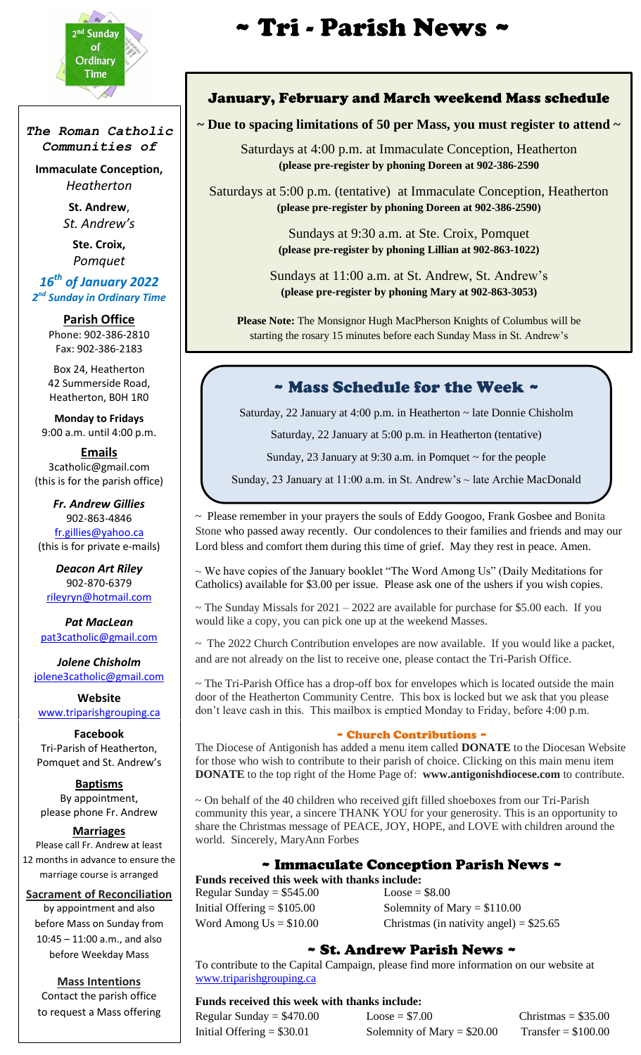

*The Roman Catholic Communities of*

**Immaculate Conception,** *Heatherton*

> **St. Andrew**, *St. Andrew's*

> > **Ste. Croix,** *Pomquet*

*16th of January 2022 2 nd Sunday in Ordinary Time*

> **Parish Office** Phone: 902-386-2810 Fax: 902-386-2183

Box 24, Heatherton 42 Summerside Road, Heatherton, B0H 1R0

**Monday to Fridays** 9:00 a.m. until 4:00 p.m.

**Emails** 3catholic@gmail.com (this is for the parish office)

*Fr. Andrew Gillies* 902-863-4846 [fr.gillies@yahoo.ca](mailto:fr.gillies@yahoo.ca) (this is for private e-mails)

*Deacon Art Riley* 902-870-6379 [rileyryn@hotmail.com](mailto:rileyryn@hotmail.com)

*Pat MacLean* [pat3catholic@gmail.com](mailto:rileyryn@hotmail.com)

*Jolene Chisholm* [jolene3catholic@gmail.com](mailto:jolene3catholic@gmail.com)

**Website** [www.triparishgrouping.ca](http://www.triparishgrouping.ca/)

**Facebook** Tri-Parish of Heatherton, Pomquet and St. Andrew's

**Baptisms** By appointment, please phone Fr. Andrew

#### **Marriages**

Please call Fr. Andrew at least 12 months in advance to ensure the marriage course is arranged

#### **Sacrament of Reconciliation**

by appointment and also before Mass on Sunday from 10:45 – 11:00 a.m., and also before Weekday Mass

**Mass Intentions** Contact the parish office to request a Mass offering

# **2nd Sunday | and 2000 Control 2nd Sunday | and 2000 Control 2nd Series Avenue Control 2nd Series 4 Control 2nd Series 4 Control 2nd Series 4 Control 2nd Series 4 Control 2nd Series 4 Control 2nd Series 4 Control 2nd Serie**

## January, February and March weekend Mass schedule

**~ Due to spacing limitations of 50 per Mass, you must register to attend ~**

Saturdays at 4:00 p.m. at Immaculate Conception, Heatherton **(please pre-register by phoning Doreen at 902-386-2590**

Saturdays at 5:00 p.m. (tentative) at Immaculate Conception, Heatherton **(please pre-register by phoning Doreen at 902-386-2590)**

> Sundays at 9:30 a.m. at Ste. Croix, Pomquet **(please pre-register by phoning Lillian at 902-863-1022)**

Sundays at 11:00 a.m. at St. Andrew, St. Andrew's **(please pre-register by phoning Mary at 902-863-3053)**

**Please Note:** The Monsignor Hugh MacPherson Knights of Columbus will be starting the rosary 15 minutes before each Sunday Mass in St. Andrew's

## ~ Mass Schedule for the Week ~

Saturday, 22 January at 4:00 p.m. in Heatherton ~ late Donnie Chisholm

Saturday, 22 January at 5:00 p.m. in Heatherton (tentative)

Sunday, 23 January at 9:30 a.m. in Pomquet  $\sim$  for the people

Sunday, 23 January at 11:00 a.m. in St. Andrew's ~ late Archie MacDonald

~ Please remember in your prayers the souls of Eddy Googoo, Frank Gosbee and Bonita Stone who passed away recently. Our condolences to their families and friends and may our Lord bless and comfort them during this time of grief. May they rest in peace. Amen.

~ We have copies of the January booklet "The Word Among Us" (Daily Meditations for Catholics) available for \$3.00 per issue. Please ask one of the ushers if you wish copies.

 $\sim$  The Sunday Missals for 2021 – 2022 are available for purchase for \$5.00 each. If you would like a copy, you can pick one up at the weekend Masses.

~ The 2022 Church Contribution envelopes are now available. If you would like a packet, and are not already on the list to receive one, please contact the Tri-Parish Office.

~ The Tri-Parish Office has a drop-off box for envelopes which is located outside the main door of the Heatherton Community Centre. This box is locked but we ask that you please don't leave cash in this. This mailbox is emptied Monday to Friday, before 4:00 p.m.

#### ~ Church Contributions ~

The Diocese of Antigonish has added a menu item called **DONATE** to the Diocesan Website for those who wish to contribute to their parish of choice. Clicking on this main menu item **DONATE** to the top right of the Home Page of: **www.antigonishdiocese.com** to contribute.

~ On behalf of the 40 children who received gift filled shoeboxes from our Tri-Parish community this year, a sincere THANK YOU for your generosity. This is an opportunity to share the Christmas message of PEACE, JOY, HOPE, and LOVE with children around the world. Sincerely, MaryAnn Forbes

## ~ Immaculate Conception Parish News ~

**Funds received this week with thanks include:** 

Regular Sunday =  $$545.00$  Loose =  $$8.00$ 

Initial Offering  $= $105.00$  Solemnity of Mary  $= $110.00$ Word Among  $Us = $10.00$  Christmas (in nativity angel) = \$25.65

#### ~ St. Andrew Parish News ~

To contribute to the Capital Campaign, please find more information on our website at [www.triparishgrouping.ca](http://www.triparishgrouping.ca/)

#### **Funds received this week with thanks include:**

Regular Sunday =  $$470.00$  Loose =  $$7.00$  Christmas =  $$35.00$ Initial Offering  $= $30.01$  Solemnity of Mary  $= $20.00$  Transfer  $= $100.00$